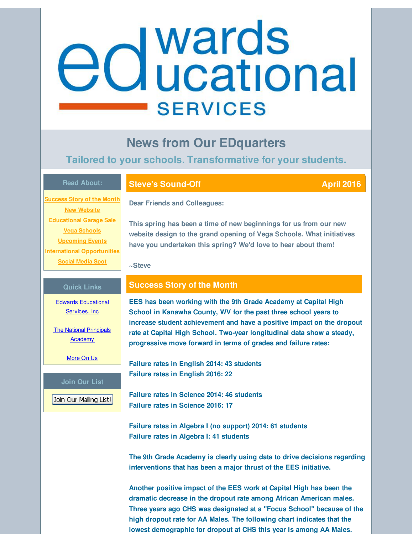# <span id="page-0-0"></span>edwards **SERVICES**

## **News from Our EDquarters**

### **Tailored to your schools. Transformative for your students.**

#### **Read About:**

**[Success](#page-0-0) Story of the Month New [Website](#page-0-0) [Educational](#page-0-0) Garage Sale Vega [Schools](#page-0-0) [Upcoming](#page-0-0) Events International [Opportunities](#page-0-0) [Social](#page-0-0) Media Spot**

#### **Steve's Sound-Off April 2016**

**Dear Friends and Colleagues:**

**This spring has been a time of new beginnings for us from our new website design to the grand opening of Vega Schools. What initiatives have you undertaken this spring? We'd love to hear about them!**

**~Steve**

#### **Quick Links**

Edwards [Educational](http://r20.rs6.net/tn.jsp?f=001y1ltD-1ldJDzDiVwNHG-Es5HooYJqU2RTJRjSvwn_LiyjeQXwVNZuDDNRK-agKZCooorl3CWEiWI-zo8XkGEMfaFgzzAxBramaHk3Wv_g38MqqNVZJPOQpETQs01IgCPWa9cBRJd-wQZd2u03MhH9gFyNLcUqgOJvab8d3QLJiddueTcpzqc7A==&c=&ch=) Services, Inc

**The National [Principals](http://r20.rs6.net/tn.jsp?f=001y1ltD-1ldJDzDiVwNHG-Es5HooYJqU2RTJRjSvwn_LiyjeQXwVNZuF1S5yZzpjVlVKRVJayvdUtXIZSq0upGQB05v2Y8CjMxH3iPbl3WOtrOtEKtXzTgJJ5Ki1YkYhEokOzKp3TXBWi2ic4eyMal3tLrNtHk-Cm9Lb3dk5J27cfdy5EzkQJp5EqgtLMDTCi0&c=&ch=) Academy** 

[More](http://r20.rs6.net/tn.jsp?f=001y1ltD-1ldJDzDiVwNHG-Es5HooYJqU2RTJRjSvwn_LiyjeQXwVNZuD9vHTFdbm_0UtgqNrqK8y6Hk7rQg59gX44fbLVAckvE318kVn-QFgK94G6mxmCRDT9JqRKW2SymHSJLCe1HHf5ocYQ6oU34SNSAmpFyQU63TM4WPSIRCx1L0S3Z3UnbU_Uvw1MtxWRs&c=&ch=) On Us

#### **Join Our List**

Join Our Mailing List!

#### **Success Story of the Month**

**EES has been working with the 9th Grade Academy at Capital High School in Kanawha County, WV for the past three school years to increase student achievement and have a positive impact on the dropout rate at Capital High School. Two-year longitudinal data show a steady, progressive move forward in terms of grades and failure rates:**

**Failure rates in English 2014: 43 students Failure rates in English 2016: 22**

**Failure rates in Science 2014: 46 students Failure rates in Science 2016: 17**

**Failure rates in Algebra I (no support) 2014: 61 students Failure rates in Algebra I: 41 students**

**The 9th Grade Academy is clearly using data to drive decisions regarding interventions that has been a major thrust of the EES initiative.**

**Another positive impact of the EES work at Capital High has been the dramatic decrease in the dropout rate among African American males. Three years ago CHS was designated at a "Focus School" because of the high dropout rate for AA Males. The following chart indicates that the lowest demographic for dropout at CHS this year is among AA Males.**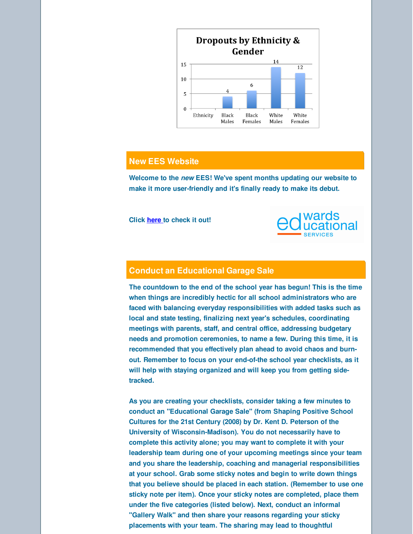

#### **New EES Website**

**Welcome to the** *new* **EES! We've spent months updating our website to make it more user-friendly and it's finally ready to make its debut.**

**Click [here](http://r20.rs6.net/tn.jsp?f=001y1ltD-1ldJDzDiVwNHG-Es5HooYJqU2RTJRjSvwn_LiyjeQXwVNZuBlKVQqfHpCkNgYeJ_0e7R36XcRYEf-AdIyMlKs9ZUX50d31HTJOJHUyahP4tzoUiYNK7WGZ74DR0N4eQGehbQIX2iYBUXzOMjiadzVp6NQt4G8dJZ1ETk45wxZG8pFFTg==&c=&ch=) to check it out!**



#### **Conduct an Educational Garage Sale**

**The countdown to the end of the school year has begun! This is the time when things are incredibly hectic for all school administrators who are faced with balancing everyday responsibilities with added tasks such as local and state testing, finalizing next year's schedules, coordinating meetings with parents, staff, and central office, addressing budgetary needs and promotion ceremonies, to name a few. During this time, it is recommended that you effectively plan ahead to avoid chaos and burnout. Remember to focus on your end-of-the school year checklists, as it will help with staying organized and will keep you from getting sidetracked.**

**As you are creating your checklists, consider taking a few minutes to conduct an "Educational Garage Sale" (from Shaping Positive School Cultures for the 21st Century (2008) by Dr. Kent D. Peterson of the University of Wisconsin-Madison). You do not necessarily have to complete this activity alone; you may want to complete it with your leadership team during one of your upcoming meetings since your team and you share the leadership, coaching and managerial responsibilities at your school. Grab some sticky notes and begin to write down things that you believe should be placed in each station. (Remember to use one sticky note per item). Once your sticky notes are completed, place them under the five categories (listed below). Next, conduct an informal "Gallery Walk" and then share your reasons regarding your sticky placements with your team. The sharing may lead to thoughtful**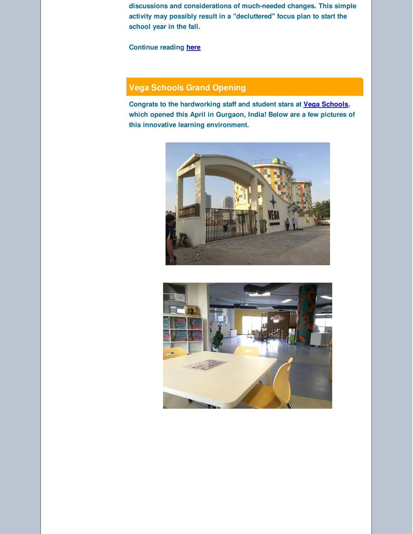**discussions and considerations of much-needed changes. This simple activity may possibly result in a "decluttered" focus plan to start the school year in the fall.**

**Continue reading [here](http://r20.rs6.net/tn.jsp?f=001y1ltD-1ldJDzDiVwNHG-Es5HooYJqU2RTJRjSvwn_LiyjeQXwVNZuBlKVQqfHpCkbthgEtO6xI5R2Ktd-xP7BxugpYkDs3q0kq6zxYdz-hVk0IZzkbkaVKhWh4SrBNzuufYTSCarrIM1mBpjilZROu7OhgoOHM4bCL1X1JM_xgws_cjfYwiTpADK6sqFSORdTj1lC8700oXZ4TwmlaUwg4OXJXsIUSc6_y2gCnkaxIc=&c=&ch=)**

#### **Vega Schools Grand Opening**

**Congrats to the hardworking staff and student stars at Vega [Schools](http://r20.rs6.net/tn.jsp?f=001y1ltD-1ldJDzDiVwNHG-Es5HooYJqU2RTJRjSvwn_LiyjeQXwVNZuJYG7s-B0cLcWsCEXPeHq5FSq_ITSYqw5R_gD9Fi7wOjdZAlBVkV3Bxx4kwsBEqHNSVvGXu0Ce-fuyvp_Gs9LWaxkNwmp0oPEZQTL9TiT3vExjut1DTu52g=&c=&ch=), which opened this April in Gurgaon, India! Below are a few pictures of this innovative learning environment.**



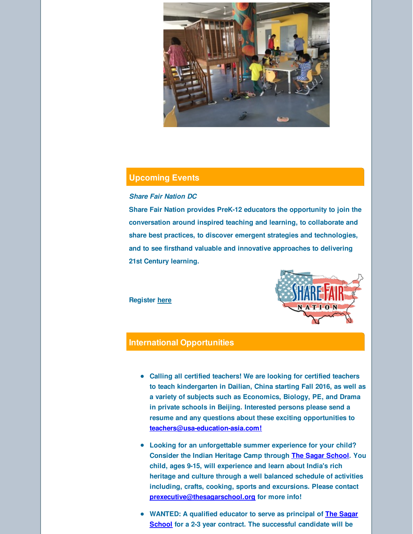

#### **Upcoming Events**

#### *Share Fair Nation DC*

**Share Fair Nation provides PreK-12 educators the opportunity to join the conversation around inspired teaching and learning, to collaborate and share best practices, to discover emergent strategies and technologies, and to see firsthand valuable and innovative approaches to delivering 21st Century learning.**

**Register [here](http://r20.rs6.net/tn.jsp?f=001y1ltD-1ldJDzDiVwNHG-Es5HooYJqU2RTJRjSvwn_LiyjeQXwVNZuBlKVQqfHpCkNSbPiiVSd-nQzhQ6jZBCg7Y2Iz0fjvxn9KXZRhTdUY3fcZELGB8vlXKn9AIvPVMOkPC0ocva2nDQZumuNk0ZoFa1ZgT4m8l8zItbJyQ-kJCSHTrBgOj1QWi-ioVTdvvNMVS4tZJv7h66CzRk8Jr1vA==&c=&ch=)**



#### **International Opportunities**

- **Calling all certified teachers! We are looking for certified teachers to teach kindergarten in Dailian, China starting Fall 2016, as well as a variety of subjects such as Economics, Biology, PE, and Drama in private schools in Beijing. Interested persons please send a resume and any questions about these exciting opportunities to [teachers@usa-education-asia.com!](mailto:teachers@usa-education-asia.com)**
- **Looking for an unforgettable summer experience for your child? Consider the Indian Heritage Camp through The Sagar [School](http://r20.rs6.net/tn.jsp?f=001y1ltD-1ldJDzDiVwNHG-Es5HooYJqU2RTJRjSvwn_LiyjeQXwVNZuLNmxKCbhyur1i9sklGqjtIwAh8DSOtrHQNZiBKPjiZenKAwr8CxIXB3twmAzqQZk-K9gQjUJWqVsZG3olAGqcZQcsfdyakz6OH7kWxr_wL1GESJGaVeBab5g4ba-CLQlQ==&c=&ch=). You child, ages 9-15, will experience and learn about India's rich heritage and culture through a well balanced schedule of activities including, crafts, cooking, sports and excursions. Please contact [prexecutive@thesagarschool.org](mailto:prexecutive@thesagarschool.org) for more info!**
- **WANTED: A qualified educator to serve as principal of The Sagar School for a 2-3 year contract. The [successful](http://r20.rs6.net/tn.jsp?f=001y1ltD-1ldJDzDiVwNHG-Es5HooYJqU2RTJRjSvwn_LiyjeQXwVNZuLNmxKCbhyur1i9sklGqjtIwAh8DSOtrHQNZiBKPjiZenKAwr8CxIXB3twmAzqQZk-K9gQjUJWqVsZG3olAGqcZQcsfdyakz6OH7kWxr_wL1GESJGaVeBab5g4ba-CLQlQ==&c=&ch=) candidate will be**